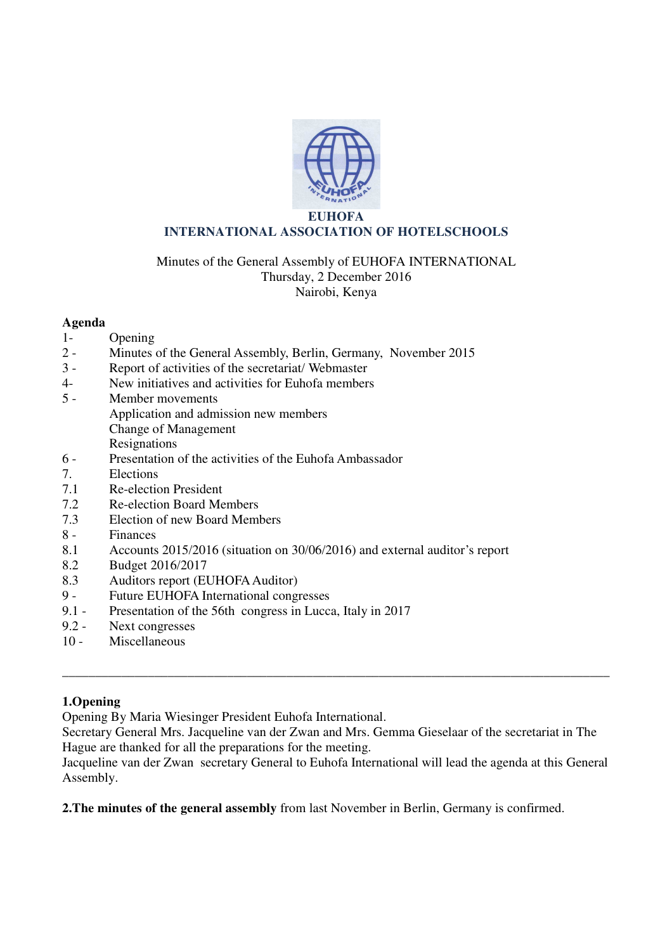

### **EUHOFA INTERNATIONAL ASSOCIATION OF HOTELSCHOOLS**

# Minutes of the General Assembly of EUHOFA INTERNATIONAL Thursday, 2 December 2016 Nairobi, Kenya

## **Agenda**

- 1- Opening
- 2 Minutes of the General Assembly, Berlin, Germany, November 2015
- 3 Report of activities of the secretariat/ Webmaster
- 4- New initiatives and activities for Euhofa members
- 5 Member movements Application and admission new members Change of Management Resignations<br>6 - Presentation
- Presentation of the activities of the Euhofa Ambassador
- 7. Elections
- 7.1 Re-election President
- 7.2 Re-election Board Members
- 7.3 Election of new Board Members
- 8 Finances
- 8.1 Accounts 2015/2016 (situation on 30/06/2016) and external auditor's report
- 8.2 Budget 2016/2017
- 8.3 Auditors report (EUHOFA Auditor)
- 9 Future EUHOFA International congresses
- 9.1 Presentation of the 56th congress in Lucca, Italy in 2017<br>9.2 Next congresses
- Next congresses
- 10 Miscellaneous

## **1.Opening**

Opening By Maria Wiesinger President Euhofa International.

Secretary General Mrs. Jacqueline van der Zwan and Mrs. Gemma Gieselaar of the secretariat in The Hague are thanked for all the preparations for the meeting.

\_\_\_\_\_\_\_\_\_\_\_\_\_\_\_\_\_\_\_\_\_\_\_\_\_\_\_\_\_\_\_\_\_\_\_\_\_\_\_\_\_\_\_\_\_\_\_\_\_\_\_\_\_\_\_\_\_\_\_\_\_\_\_\_\_\_\_\_\_\_\_\_\_\_\_\_\_\_\_\_\_\_\_

Jacqueline van der Zwan secretary General to Euhofa International will lead the agenda at this General Assembly.

**2.The minutes of the general assembly** from last November in Berlin, Germany is confirmed.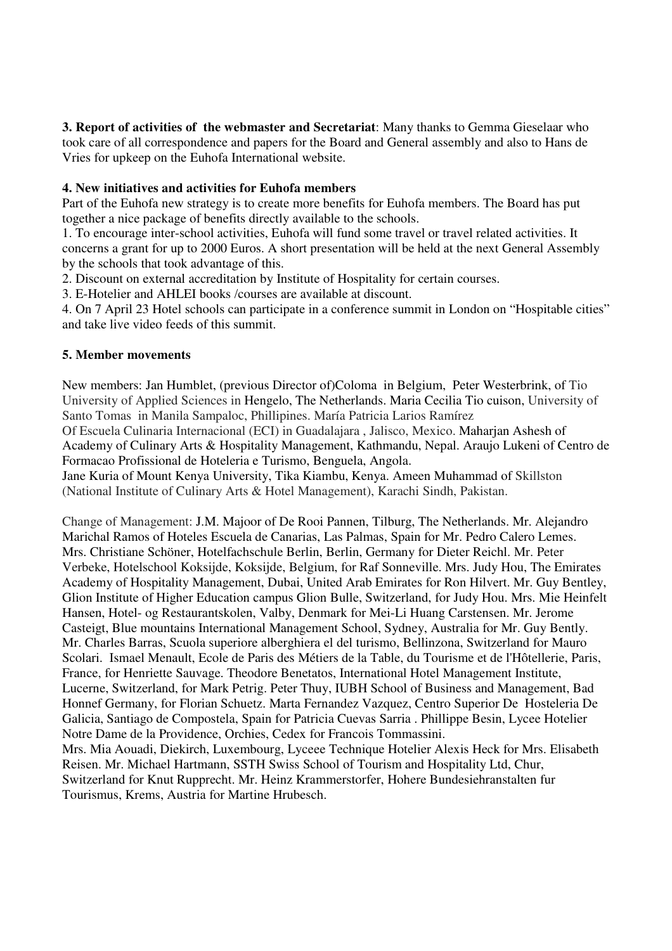**3. Report of activities of the webmaster and Secretariat**: Many thanks to Gemma Gieselaar who took care of all correspondence and papers for the Board and General assembly and also to Hans de Vries for upkeep on the Euhofa International website.

## **4. New initiatives and activities for Euhofa members**

Part of the Euhofa new strategy is to create more benefits for Euhofa members. The Board has put together a nice package of benefits directly available to the schools.

1. To encourage inter-school activities, Euhofa will fund some travel or travel related activities. It concerns a grant for up to 2000 Euros. A short presentation will be held at the next General Assembly by the schools that took advantage of this.

2. Discount on external accreditation by Institute of Hospitality for certain courses.

3. E-Hotelier and AHLEI books /courses are available at discount.

4. On 7 April 23 Hotel schools can participate in a conference summit in London on "Hospitable cities" and take live video feeds of this summit.

#### **5. Member movements**

New members: Jan Humblet, (previous Director of)Coloma in Belgium, Peter Westerbrink, of Tio University of Applied Sciences in Hengelo, The Netherlands. Maria Cecilia Tio cuison, University of Santo Tomas in Manila Sampaloc, Phillipines. María Patricia Larios Ramírez

Of Escuela Culinaria Internacional (ECI) in Guadalajara , Jalisco, Mexico. Maharjan Ashesh of Academy of Culinary Arts & Hospitality Management, Kathmandu, Nepal. Araujo Lukeni of Centro de Formacao Profissional de Hoteleria e Turismo, Benguela, Angola.

Jane Kuria of Mount Kenya University, Tika Kiambu, Kenya. Ameen Muhammad of Skillston (National Institute of Culinary Arts & Hotel Management), Karachi Sindh, Pakistan.

Change of Management: J.M. Majoor of De Rooi Pannen, Tilburg, The Netherlands. Mr. Alejandro Marichal Ramos of Hoteles Escuela de Canarias, Las Palmas, Spain for Mr. Pedro Calero Lemes. Mrs. Christiane Schöner, Hotelfachschule Berlin, Berlin, Germany for Dieter Reichl. Mr. Peter Verbeke, Hotelschool Koksijde, Koksijde, Belgium, for Raf Sonneville. Mrs. Judy Hou, The Emirates Academy of Hospitality Management, Dubai, United Arab Emirates for Ron Hilvert. Mr. Guy Bentley, Glion Institute of Higher Education campus Glion Bulle, Switzerland, for Judy Hou. Mrs. Mie Heinfelt Hansen, Hotel- og Restaurantskolen, Valby, Denmark for Mei-Li Huang Carstensen. Mr. Jerome Casteigt, Blue mountains International Management School, Sydney, Australia for Mr. Guy Bently. Mr. Charles Barras, Scuola superiore alberghiera el del turismo, Bellinzona, Switzerland for Mauro Scolari. Ismael Menault, Ecole de Paris des Métiers de la Table, du Tourisme et de l'Hôtellerie, Paris, France, for Henriette Sauvage. Theodore Benetatos, International Hotel Management Institute, Lucerne, Switzerland, for Mark Petrig. Peter Thuy, IUBH School of Business and Management, Bad Honnef Germany, for Florian Schuetz. Marta Fernandez Vazquez, Centro Superior De Hosteleria De Galicia, Santiago de Compostela, Spain for Patricia Cuevas Sarria . Phillippe Besin, Lycee Hotelier Notre Dame de la Providence, Orchies, Cedex for Francois Tommassini. Mrs. Mia Aouadi, Diekirch, Luxembourg, Lyceee Technique Hotelier Alexis Heck for Mrs. Elisabeth Reisen. Mr. Michael Hartmann, SSTH Swiss School of Tourism and Hospitality Ltd, Chur, Switzerland for Knut Rupprecht. Mr. Heinz Krammerstorfer, Hohere Bundesiehranstalten fur Tourismus, Krems, Austria for Martine Hrubesch.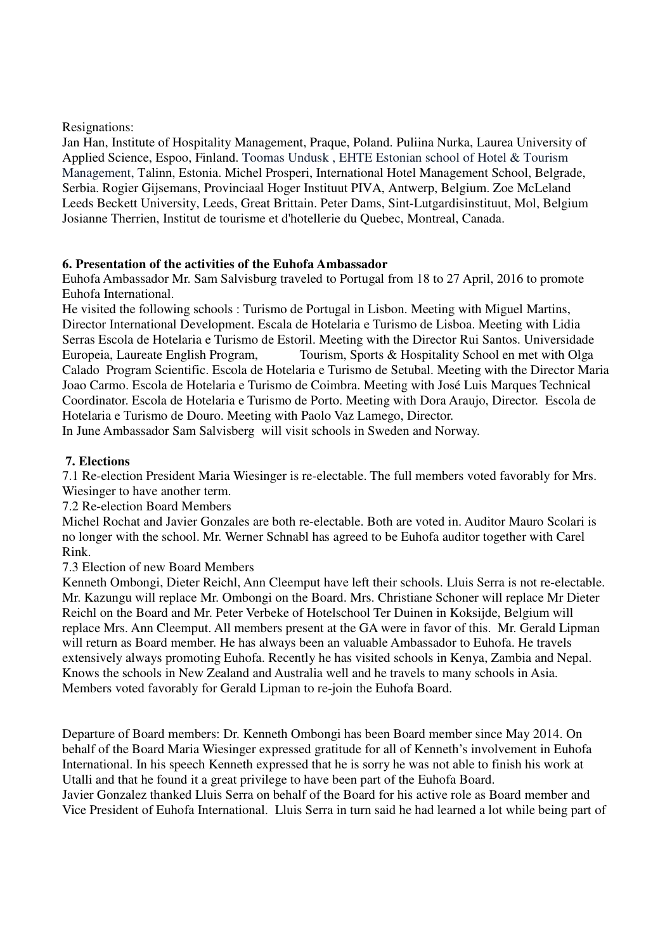Resignations:

Jan Han, Institute of Hospitality Management, Praque, Poland. Puliina Nurka, Laurea University of Applied Science, Espoo, Finland. Toomas Undusk , EHTE Estonian school of Hotel & Tourism Management, Talinn, Estonia. Michel Prosperi, International Hotel Management School, Belgrade, Serbia. Rogier Gijsemans, Provinciaal Hoger Instituut PIVA, Antwerp, Belgium. Zoe McLeland Leeds Beckett University, Leeds, Great Brittain. Peter Dams, Sint-Lutgardisinstituut, Mol, Belgium Josianne Therrien, Institut de tourisme et d'hotellerie du Quebec, Montreal, Canada.

#### **6. Presentation of the activities of the Euhofa Ambassador**

Euhofa Ambassador Mr. Sam Salvisburg traveled to Portugal from 18 to 27 April, 2016 to promote Euhofa International.

He visited the following schools : Turismo de Portugal in Lisbon. Meeting with Miguel Martins, Director International Development. Escala de Hotelaria e Turismo de Lisboa. Meeting with Lidia Serras Escola de Hotelaria e Turismo de Estoril. Meeting with the Director Rui Santos. Universidade Europeia, Laureate English Program, Tourism, Sports & Hospitality School en met with Olga Calado Program Scientific. Escola de Hotelaria e Turismo de Setubal. Meeting with the Director Maria Joao Carmo. Escola de Hotelaria e Turismo de Coimbra. Meeting with José Luis Marques Technical Coordinator. Escola de Hotelaria e Turismo de Porto. Meeting with Dora Araujo, Director. Escola de Hotelaria e Turismo de Douro. Meeting with Paolo Vaz Lamego, Director.

In June Ambassador Sam Salvisberg will visit schools in Sweden and Norway.

#### **7. Elections**

7.1 Re-election President Maria Wiesinger is re-electable. The full members voted favorably for Mrs. Wiesinger to have another term.

7.2 Re-election Board Members

Michel Rochat and Javier Gonzales are both re-electable. Both are voted in. Auditor Mauro Scolari is no longer with the school. Mr. Werner Schnabl has agreed to be Euhofa auditor together with Carel Rink.

7.3 Election of new Board Members

Kenneth Ombongi, Dieter Reichl, Ann Cleemput have left their schools. Lluis Serra is not re-electable. Mr. Kazungu will replace Mr. Ombongi on the Board. Mrs. Christiane Schoner will replace Mr Dieter Reichl on the Board and Mr. Peter Verbeke of Hotelschool Ter Duinen in Koksijde, Belgium will replace Mrs. Ann Cleemput. All members present at the GA were in favor of this. Mr. Gerald Lipman will return as Board member. He has always been an valuable Ambassador to Euhofa. He travels extensively always promoting Euhofa. Recently he has visited schools in Kenya, Zambia and Nepal. Knows the schools in New Zealand and Australia well and he travels to many schools in Asia. Members voted favorably for Gerald Lipman to re-join the Euhofa Board.

Departure of Board members: Dr. Kenneth Ombongi has been Board member since May 2014. On behalf of the Board Maria Wiesinger expressed gratitude for all of Kenneth's involvement in Euhofa International. In his speech Kenneth expressed that he is sorry he was not able to finish his work at Utalli and that he found it a great privilege to have been part of the Euhofa Board. Javier Gonzalez thanked Lluis Serra on behalf of the Board for his active role as Board member and

Vice President of Euhofa International. Lluis Serra in turn said he had learned a lot while being part of